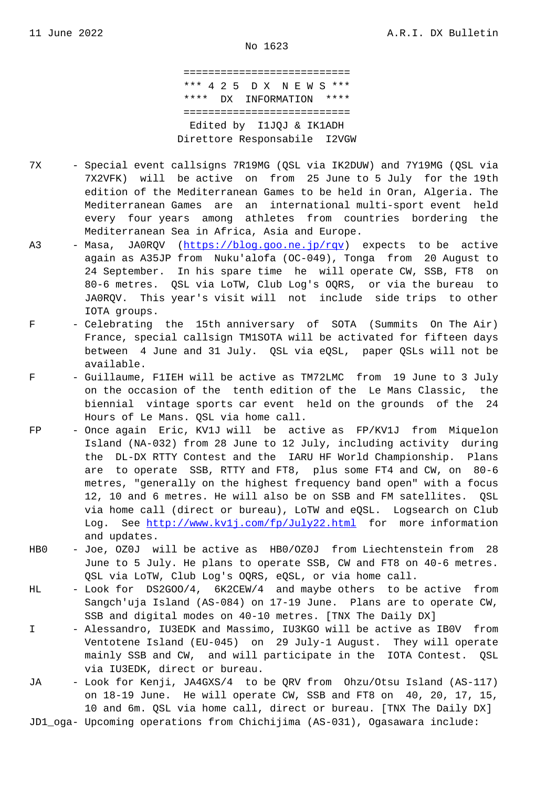=========================== \*\*\* 4 2 5 D X N E W S \*\*\* \*\*\*\* DX INFORMATION \*\*\*\* =========================== Edited by I1JQJ & IK1ADH Direttore Responsabile I2VGW

- 7X Special event callsigns 7R19MG (QSL via IK2DUW) and 7Y19MG (QSL via 7X2VFK) will be active on from 25 June to 5 July for the 19th edition of the Mediterranean Games to be held in Oran, Algeria. The Mediterranean Games are an international multi-sport event held every four years among athletes from countries bordering the Mediterranean Sea in Africa, Asia and Europe.
- A3 Masa, JA0RQV (https://blog.goo.ne.jp/rqv) expects to be active again as A35JP from Nuku'alofa (OC-049), Tonga from 20 August to 24 September. In his spare time he will operate CW, SSB, FT8 on 80-6 metres. QSL via LoTW, Club Log's OQRS, or via the bureau to JA0RQV. This y[ear's visit will not inclu](https://blog.goo.ne.jp/rqv)de side trips to other IOTA groups.
- F Celebrating the 15th anniversary of SOTA (Summits On The Air) France, special callsign TM1SOTA will be activated for fifteen days between 4 June and 31 July. QSL via eQSL, paper QSLs will not be available.
- F Guillaume, F1IEH will be active as TM72LMC from 19 June to 3 July on the occasion of the tenth edition of the Le Mans Classic, the biennial vintage sports car event held on the grounds of the 24 Hours of Le Mans. QSL via home call.
- FP Once again Eric, KV1J will be active as FP/KV1J from Miquelon Island (NA-032) from 28 June to 12 July, including activity during the DL-DX RTTY Contest and the IARU HF World Championship. Plans are to operate SSB, RTTY and FT8, plus some FT4 and CW, on 80-6 metres, "generally on the highest frequency band open" with a focus 12, 10 and 6 metres. He will also be on SSB and FM satellites. QSL via home call (direct or bureau), LoTW and eQSL. Logsearch on Club Log. See http://www.kv1j.com/fp/July22.html for more information and updates.
- HB0 Joe, OZ0J will be active as HB0/OZ0J from Liechtenstein from 28 June to 5 [July. He plans to operate SSB, CW a](http://www.kv1j.com/fp/July22.html)nd FT8 on 40-6 metres. QSL via LoTW, Club Log's OQRS, eQSL, or via home call.
- HL Look for DS2GOO/4, 6K2CEW/4 and maybe others to be active from Sangch'uja Island (AS-084) on 17-19 June. Plans are to operate CW, SSB and digital modes on 40-10 metres. [TNX The Daily DX]
- I Alessandro, IU3EDK and Massimo, IU3KGO will be active as IBOV from Ventotene Island (EU-045) on 29 July-1 August. They will operate mainly SSB and CW, and will participate in the IOTA Contest. QSL via IU3EDK, direct or bureau.
- JA Look for Kenji, JA4GXS/4 to be QRV from Ohzu/Otsu Island (AS-117) on 18-19 June. He will operate CW, SSB and FT8 on 40, 20, 17, 15, 10 and 6m. QSL via home call, direct or bureau. [TNX The Daily DX]
- JD1\_oga- Upcoming operations from Chichijima (AS-031), Ogasawara include: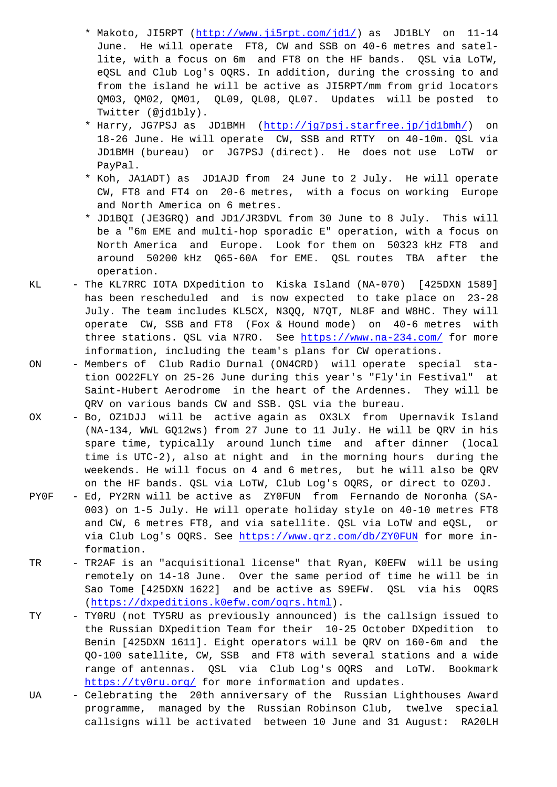June. He will operate FT8, CW and SSB on 40-6 metres and satel lite, with a focus on 6m and FT8 on the HF bands. QSL via LoTW, eQSL and Club L[og](http://www.ji5rpt.com/jd1/)'[s OQRS. In addition, duri](http://www.ji5rpt.com/jd1/)ng the crossing to and from the island he will be active as JI5RPT/mm from grid locators QM03, QM02, QM01, QL09, QL08, QL07. Updates will be posted to Twitter (@jd1bly).

- \* Harry, JG7PSJ as JD1BMH (http://jg7psj.starfree.jp/jd1bmh/) on 18-26 June. He will operate CW, SSB and RTTY on 40-10m. QSL via JD1BMH (bureau) or JG7PSJ (direct). He does not use LoTW or PayPal.
- \* Koh, JA1ADT) as JD1AJD fro[m 24 June to 2 July. He will ope](http://jg7psj.starfree.jp/jd1bmh/)rate CW, FT8 and FT4 on 20-6 metres, with a focus on working Europe and North America on 6 metres.
- \* JD1BQI (JE3GRQ) and JD1/JR3DVL from 30 June to 8 July. This will be a "6m EME and multi-hop sporadic E" operation, with a focus on North America and Europe. Look for them on 50323 kHz FT8 and around 50200 kHz Q65-60A for EME. QSL routes TBA after the operation.
- KL The KL7RRC IOTA DXpedition to Kiska Island (NA-070) [425DXN 1589] has been rescheduled and is now expected to take place on 23-28 July. The team includes KL5CX, N3QQ, N7QT, NL8F and W8HC. They will operate CW, SSB and FT8 (Fox & Hound mode) on 40-6 metres with three stations. QSL via N7RO. See https://www.na-234.com/ for more information, including the team's plans for CW operations.
- ON Members of Club Radio Durnal (ON4CRD) will operate special sta tion OO22FLY on 25-26 June during t[his year](https://www.na-234.com/)'[s "Fly](https://www.na-234.com/)'[in Fest](https://www.na-234.com/)ival" at Saint-Hubert Aerodrome in the heart of the Ardennes. They will be QRV on various bands CW and SSB. QSL via the bureau.
- OX Bo, OZ1DJJ will be active again as OX3LX from Upernavik Island (NA-134, WWL GQ12ws) from 27 June to 11 July. He will be QRV in his spare time, typically around lunch time and after dinner (local time is UTC-2), also at night and in the morning hours during the weekends. He will focus on 4 and 6 metres, but he will also be QRV on the HF bands. QSL via LoTW, Club Log's OQRS, or direct to OZ0J.
- PY0F Ed, PY2RN will be active as ZY0FUN from Fernando de Noronha (SA- 003) on 1-5 July. He will operate holiday style on 40-10 metres FT8 and CW, 6 metres FT8, and via satellite. QSL via LoTW and eQSL, or via Club Log's OQRS. See https://www.qrz.com/db/ZY0FUN for more in formation.
- TR TR2AF is an "acquisitional license" that Ryan, K0EFW will be using remotely on 14-18 June. Over the same period of time he will be in Sao Tome [425DXN 1622] a[nd be active as S9EFW. QSL v](https://www.qrz.com/db/ZY0FUN)ia his OQRS (https://dxpeditions.k0efw.com/oqrs.html).
- TY TY0RU (not TY5RU as previously announced) is the callsign issued to the Russian DXpedition Team for their 10-25 October DXpedition to [Benin \[425DXN 1611\]. Eight operators will](https://dxpeditions.k0efw.com/oqrs.html) be QRV on 160-6m and the QO-100 satellite, CW, SSB and FT8 with several stations and a wide range of antennas. QSL via Club Log's OQRS and LoTW. Bookmark https://ty0ru.org/ for more information and updates.
- UA Celebrating the 20th anniversary of the Russian Lighthouses Award programme, managed by the Russian Robinson Club, twelve special [callsigns will be](https://ty0ru.org/) activated between 10 June and 31 August: RA20LH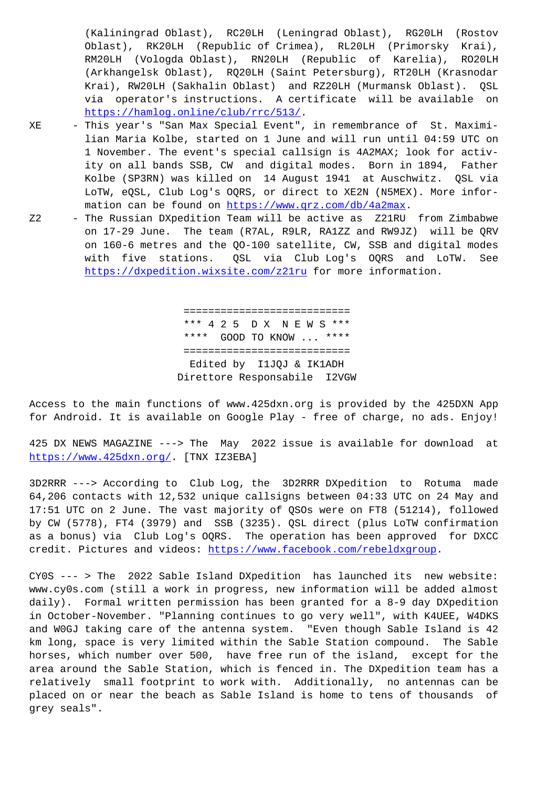Oblast), RK20LH (Republic of Crimea), RL20LH (Primorsky Krai), RM20LH (Vologda Oblast), RN20LH (Republic of Karelia), RO20LH (Arkhangelsk Oblast), RQ20LH (Saint Petersburg), RT20LH (Krasnodar Krai), RW20LH (Sakhalin Oblast) and RZ20LH (Murmansk Oblast). QSL via operator's instructions. A certificate will be available on https://hamlog.online/club/rrc/513/.

- XE This year's "San Max Special Event", in remembrance of St. Maximi lian Maria Kolbe, started on 1 June and will run until 04:59 UTC on [1 November. The event](https://hamlog.online/club/rrc/513/)'[s special call](https://hamlog.online/club/rrc/513/)sign is 4A2MAX; look for activ ity on all bands SSB, CW and digital modes. Born in 1894, Father Kolbe (SP3RN) was killed on 14 August 1941 at Auschwitz. QSL via LoTW, eQSL, Club Log's OQRS, or direct to XE2N (N5MEX). More infor mation can be found on https://www.qrz.com/db/4a2max.
	- Z2 The Russian DXpedition Team will be active as Z21RU from Zimbabwe on 17-29 June. The team (R7AL, R9LR, RA1ZZ and RW9JZ) will be QRV on 160-6 metres and th[e QO-100 satellite, CW, SSB and](https://www.qrz.com/db/4a2max) digital modes with five stations. QSL via Club Log's OQRS and LoTW. See https://dxpedition.wixsite.com/z21ru for more information.

 [====================](https://dxpedition.wixsite.com/z21ru)======= \*\*\* 4 2 5 D X N E W S \*\*\* \*\*\*\* GOOD TO KNOW ... \*\*\*\* =========================== Edited by I1JQJ & IK1ADH Direttore Responsabile I2VGW

Access to the main functions of www.425dxn.org is provided by the 425DXN App for Android. It is available on Google Play - free of charge, no ads. Enjoy!

425 DX NEWS MAGAZINE ---> The May 2022 issue is available for download at https://www.425dxn.org/. [TNX IZ3EBA]

3D2RRR ---> According to Club Log, the 3D2RRR DXpedition to Rotuma made 64,206 contacts with 12,532 unique callsigns between 04:33 UTC on 24 May and [17:51 UTC on 2 June. The](https://www.425dxn.org/) vast majority of QSOs were on FT8 (51214), followed by CW (5778), FT4 (3979) and SSB (3235). QSL direct (plus LoTW confirmation as a bonus) via Club Log's OQRS. The operation has been approved for DXCC credit. Pictures and videos: https://www.facebook.com/rebeldxgroup.

CY0S --- > The 2022 Sable Island DXpedition has launched its new website: www.cy0s.com (still a work in progress, new information will be added almost daily). Formal written permi[ssion has been granted for a 8-9 day D](https://www.facebook.com/rebeldxgroup)Xpedition in October-November. "Planning continues to go very well", with K4UEE, W4DKS and W0GJ taking care of the antenna system. "Even though Sable Island is 42 km long, space is very limited within the Sable Station compound. The Sable horses, which number over 500, have free run of the island, except for the area around the Sable Station, which is fenced in. The DXpedition team has a relatively small footprint to work with. Additionally, no antennas can be placed on or near the beach as Sable Island is home to tens of thousands of grey seals".